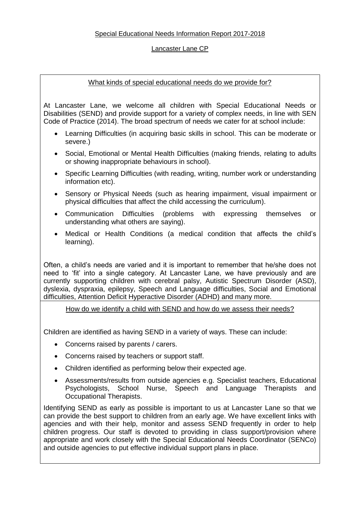# Special Educational Needs Information Report 2017-2018

# Lancaster Lane CP

# What kinds of special educational needs do we provide for?

At Lancaster Lane, we welcome all children with Special Educational Needs or Disabilities (SEND) and provide support for a variety of complex needs, in line with SEN Code of Practice (2014). The broad spectrum of needs we cater for at school include:

- Learning Difficulties (in acquiring basic skills in school. This can be moderate or severe.)
- Social, Emotional or Mental Health Difficulties (making friends, relating to adults or showing inappropriate behaviours in school).
- Specific Learning Difficulties (with reading, writing, number work or understanding information etc).
- Sensory or Physical Needs (such as hearing impairment, visual impairment or physical difficulties that affect the child accessing the curriculum).
- Communication Difficulties (problems with expressing themselves or understanding what others are saying).
- Medical or Health Conditions (a medical condition that affects the child's learning).

Often, a child's needs are varied and it is important to remember that he/she does not need to 'fit' into a single category. At Lancaster Lane, we have previously and are currently supporting children with cerebral palsy, Autistic Spectrum Disorder (ASD), dyslexia, dyspraxia, epilepsy, Speech and Language difficulties, Social and Emotional difficulties, Attention Deficit Hyperactive Disorder (ADHD) and many more.

How do we identify a child with SEND and how do we assess their needs?

Children are identified as having SEND in a variety of ways. These can include:

- Concerns raised by parents / carers.
- Concerns raised by teachers or support staff.
- Children identified as performing below their expected age.
- Assessments/results from outside agencies e.g. Specialist teachers, Educational Psychologists, School Nurse, Speech and Language Therapists and Occupational Therapists.

Identifying SEND as early as possible is important to us at Lancaster Lane so that we can provide the best support to children from an early age. We have excellent links with agencies and with their help, monitor and assess SEND frequently in order to help children progress. Our staff is devoted to providing in class support/provision where appropriate and work closely with the Special Educational Needs Coordinator (SENCo) and outside agencies to put effective individual support plans in place.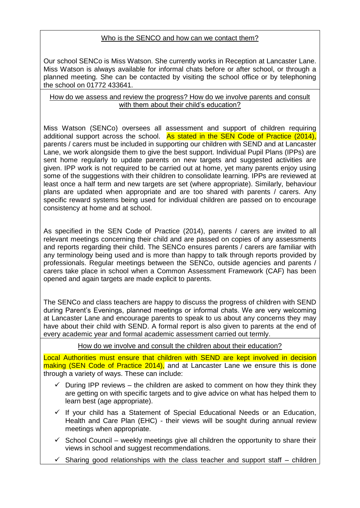# Who is the SENCO and how can we contact them?

Our school SENCo is Miss Watson. She currently works in Reception at Lancaster Lane. Miss Watson is always available for informal chats before or after school, or through a planned meeting. She can be contacted by visiting the school office or by telephoning the school on 01772 433641.

#### How do we assess and review the progress? How do we involve parents and consult with them about their child's education?

Miss Watson (SENCo) oversees all assessment and support of children requiring additional support across the school. As stated in the SEN Code of Practice (2014), parents / carers must be included in supporting our children with SEND and at Lancaster Lane, we work alongside them to give the best support. Individual Pupil Plans (IPPs) are sent home regularly to update parents on new targets and suggested activities are given. IPP work is not required to be carried out at home, yet many parents enjoy using some of the suggestions with their children to consolidate learning. IPPs are reviewed at least once a half term and new targets are set (where appropriate). Similarly, behaviour plans are updated when appropriate and are too shared with parents / carers. Any specific reward systems being used for individual children are passed on to encourage consistency at home and at school.

As specified in the SEN Code of Practice (2014), parents / carers are invited to all relevant meetings concerning their child and are passed on copies of any assessments and reports regarding their child. The SENCo ensures parents / carers are familiar with any terminology being used and is more than happy to talk through reports provided by professionals. Regular meetings between the SENCo, outside agencies and parents / carers take place in school when a Common Assessment Framework (CAF) has been opened and again targets are made explicit to parents.

The SENCo and class teachers are happy to discuss the progress of children with SEND during Parent's Evenings, planned meetings or informal chats. We are very welcoming at Lancaster Lane and encourage parents to speak to us about any concerns they may have about their child with SEND. A formal report is also given to parents at the end of every academic year and formal academic assessment carried out termly.

How do we involve and consult the children about their education?

Local Authorities must ensure that children with SEND are kept involved in decision making (SEN Code of Practice 2014), and at Lancaster Lane we ensure this is done through a variety of ways. These can include:

- $\checkmark$  During IPP reviews the children are asked to comment on how they think they are getting on with specific targets and to give advice on what has helped them to learn best (age appropriate).
- $\checkmark$  If your child has a Statement of Special Educational Needs or an Education, Health and Care Plan (EHC) - their views will be sought during annual review meetings when appropriate.
- $\checkmark$  School Council weekly meetings give all children the opportunity to share their views in school and suggest recommendations.
- $\checkmark$  Sharing good relationships with the class teacher and support staff children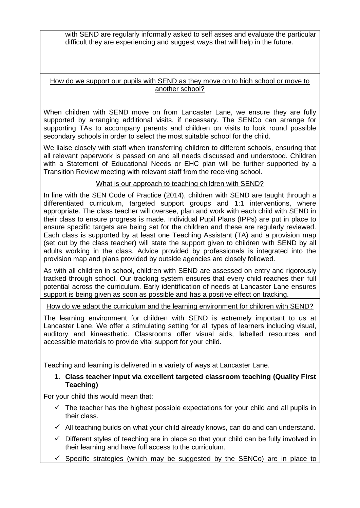with SEND are regularly informally asked to self asses and evaluate the particular difficult they are experiencing and suggest ways that will help in the future.

How do we support our pupils with SEND as they move on to high school or move to another school?

When children with SEND move on from Lancaster Lane, we ensure they are fully supported by arranging additional visits, if necessary. The SENCo can arrange for supporting TAs to accompany parents and children on visits to look round possible secondary schools in order to select the most suitable school for the child.

We liaise closely with staff when transferring children to different schools, ensuring that all relevant paperwork is passed on and all needs discussed and understood. Children with a Statement of Educational Needs or EHC plan will be further supported by a Transition Review meeting with relevant staff from the receiving school.

# What is our approach to teaching children with SEND?

In line with the SEN Code of Practice (2014), children with SEND are taught through a differentiated curriculum, targeted support groups and 1:1 interventions, where appropriate. The class teacher will oversee, plan and work with each child with SEND in their class to ensure progress is made. Individual Pupil Plans (IPPs) are put in place to ensure specific targets are being set for the children and these are regularly reviewed. Each class is supported by at least one Teaching Assistant (TA) and a provision map (set out by the class teacher) will state the support given to children with SEND by all adults working in the class. Advice provided by professionals is integrated into the provision map and plans provided by outside agencies are closely followed.

As with all children in school, children with SEND are assessed on entry and rigorously tracked through school. Our tracking system ensures that every child reaches their full potential across the curriculum. Early identification of needs at Lancaster Lane ensures support is being given as soon as possible and has a positive effect on tracking.

How do we adapt the curriculum and the learning environment for children with SEND?

The learning environment for children with SEND is extremely important to us at Lancaster Lane. We offer a stimulating setting for all types of learners including visual, auditory and kinaesthetic. Classrooms offer visual aids, labelled resources and accessible materials to provide vital support for your child.

Teaching and learning is delivered in a variety of ways at Lancaster Lane.

# **1. Class teacher input via excellent targeted classroom teaching (Quality First Teaching)**

For your child this would mean that:

- $\checkmark$  The teacher has the highest possible expectations for your child and all pupils in their class.
- $\checkmark$  All teaching builds on what your child already knows, can do and can understand.
- $\checkmark$  Different styles of teaching are in place so that your child can be fully involved in their learning and have full access to the curriculum.
- $\checkmark$  Specific strategies (which may be suggested by the SENCo) are in place to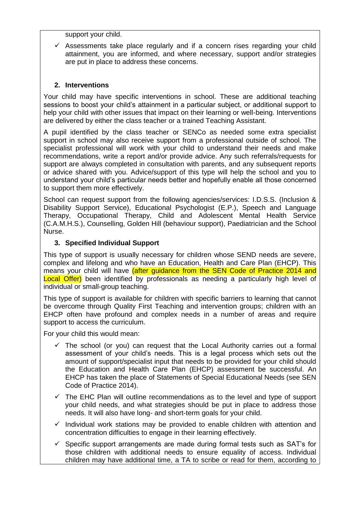support your child.

 $\checkmark$  Assessments take place regularly and if a concern rises regarding your child attainment, you are informed, and where necessary, support and/or strategies are put in place to address these concerns.

# **2. Interventions**

Your child may have specific interventions in school. These are additional teaching sessions to boost your child's attainment in a particular subject, or additional support to help your child with other issues that impact on their learning or well-being. Interventions are delivered by either the class teacher or a trained Teaching Assistant.

A pupil identified by the class teacher or SENCo as needed some extra specialist support in school may also receive support from a professional outside of school. The specialist professional will work with your child to understand their needs and make recommendations, write a report and/or provide advice. Any such referrals/requests for support are always completed in consultation with parents, and any subsequent reports or advice shared with you. Advice/support of this type will help the school and you to understand your child's particular needs better and hopefully enable all those concerned to support them more effectively.

School can request support from the following agencies/services: I.D.S.S. (Inclusion & Disability Support Service), Educational Psychologist (E.P.), Speech and Language Therapy, Occupational Therapy, Child and Adolescent Mental Health Service (C.A.M.H.S.), Counselling, Golden Hill (behaviour support), Paediatrician and the School Nurse.

# **3. Specified Individual Support**

This type of support is usually necessary for children whose SEND needs are severe, complex and lifelong and who have an Education, Health and Care Plan (EHCP). This means your child will have (after quidance from the SEN Code of Practice 2014 and Local Offer) been identified by professionals as needing a particularly high level of individual or small-group teaching.

This type of support is available for children with specific barriers to learning that cannot be overcome through Quality First Teaching and intervention groups; children with an EHCP often have profound and complex needs in a number of areas and require support to access the curriculum.

For your child this would mean:

- $\checkmark$  The school (or you) can request that the Local Authority carries out a formal assessment of your child's needs. This is a legal process which sets out the amount of support/specialist input that needs to be provided for your child should the Education and Health Care Plan (EHCP) assessment be successful. An EHCP has taken the place of Statements of Special Educational Needs (see SEN Code of Practice 2014).
- $\checkmark$  The EHC Plan will outline recommendations as to the level and type of support your child needs, and what strategies should be put in place to address those needs. It will also have long- and short-term goals for your child.
- $\checkmark$  Individual work stations may be provided to enable children with attention and concentration difficulties to engage in their learning effectively.
- $\checkmark$  Specific support arrangements are made during formal tests such as SAT's for those children with additional needs to ensure equality of access. Individual children may have additional time, a TA to scribe or read for them, according to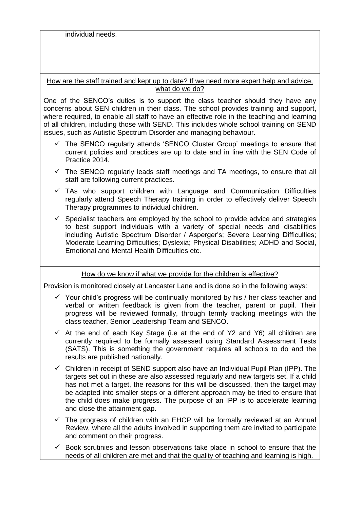individual needs.

How are the staff trained and kept up to date? If we need more expert help and advice, what do we do?

One of the SENCO's duties is to support the class teacher should they have any concerns about SEN children in their class. The school provides training and support, where required, to enable all staff to have an effective role in the teaching and learning of all children, including those with SEND. This includes whole school training on SEND issues, such as Autistic Spectrum Disorder and managing behaviour.

- $\checkmark$  The SENCO regularly attends 'SENCO Cluster Group' meetings to ensure that current policies and practices are up to date and in line with the SEN Code of Practice 2014.
- $\checkmark$  The SENCO regularly leads staff meetings and TA meetings, to ensure that all staff are following current practices.
- $\checkmark$  TAs who support children with Language and Communication Difficulties regularly attend Speech Therapy training in order to effectively deliver Speech Therapy programmes to individual children.
- $\checkmark$  Specialist teachers are employed by the school to provide advice and strategies to best support individuals with a variety of special needs and disabilities including Autistic Spectrum Disorder / Asperger's; Severe Learning Difficulties; Moderate Learning Difficulties; Dyslexia; Physical Disabilities; ADHD and Social, Emotional and Mental Health Difficulties etc.

# How do we know if what we provide for the children is effective?

Provision is monitored closely at Lancaster Lane and is done so in the following ways:

- $\checkmark$  Your child's progress will be continually monitored by his / her class teacher and verbal or written feedback is given from the teacher, parent or pupil. Their progress will be reviewed formally, through termly tracking meetings with the class teacher, Senior Leadership Team and SENCO.
- $\checkmark$  At the end of each Key Stage (i.e at the end of Y2 and Y6) all children are currently required to be formally assessed using Standard Assessment Tests (SATS). This is something the government requires all schools to do and the results are published nationally.
- $\checkmark$  Children in receipt of SEND support also have an Individual Pupil Plan (IPP). The targets set out in these are also assessed regularly and new targets set. If a child has not met a target, the reasons for this will be discussed, then the target may be adapted into smaller steps or a different approach may be tried to ensure that the child does make progress. The purpose of an IPP is to accelerate learning and close the attainment gap.
- $\checkmark$  The progress of children with an EHCP will be formally reviewed at an Annual Review, where all the adults involved in supporting them are invited to participate and comment on their progress.
- $\checkmark$  Book scrutinies and lesson observations take place in school to ensure that the needs of all children are met and that the quality of teaching and learning is high.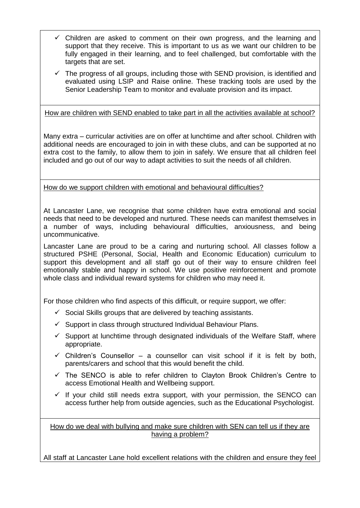- Children are asked to comment on their own progress, and the learning and support that they receive. This is important to us as we want our children to be fully engaged in their learning, and to feel challenged, but comfortable with the targets that are set.
- $\checkmark$  The progress of all groups, including those with SEND provision, is identified and evaluated using LSIP and Raise online. These tracking tools are used by the Senior Leadership Team to monitor and evaluate provision and its impact.

#### How are children with SEND enabled to take part in all the activities available at school?

Many extra – curricular activities are on offer at lunchtime and after school. Children with additional needs are encouraged to join in with these clubs, and can be supported at no extra cost to the family, to allow them to join in safely. We ensure that all children feel included and go out of our way to adapt activities to suit the needs of all children.

How do we support children with emotional and behavioural difficulties?

At Lancaster Lane, we recognise that some children have extra emotional and social needs that need to be developed and nurtured. These needs can manifest themselves in a number of ways, including behavioural difficulties, anxiousness, and being uncommunicative.

Lancaster Lane are proud to be a caring and nurturing school. All classes follow a structured PSHE (Personal, Social, Health and Economic Education) curriculum to support this development and all staff go out of their way to ensure children feel emotionally stable and happy in school. We use positive reinforcement and promote whole class and individual reward systems for children who may need it.

For those children who find aspects of this difficult, or require support, we offer:

- $\checkmark$  Social Skills groups that are delivered by teaching assistants.
- $\checkmark$  Support in class through structured Individual Behaviour Plans.
- $\checkmark$  Support at lunchtime through designated individuals of the Welfare Staff, where appropriate.
- $\checkmark$  Children's Counsellor a counsellor can visit school if it is felt by both, parents/carers and school that this would benefit the child.
- $\checkmark$  The SENCO is able to refer children to Clayton Brook Children's Centre to access Emotional Health and Wellbeing support.
- If your child still needs extra support, with your permission, the SENCO can access further help from outside agencies, such as the Educational Psychologist.

How do we deal with bullying and make sure children with SEN can tell us if they are having a problem?

All staff at Lancaster Lane hold excellent relations with the children and ensure they feel